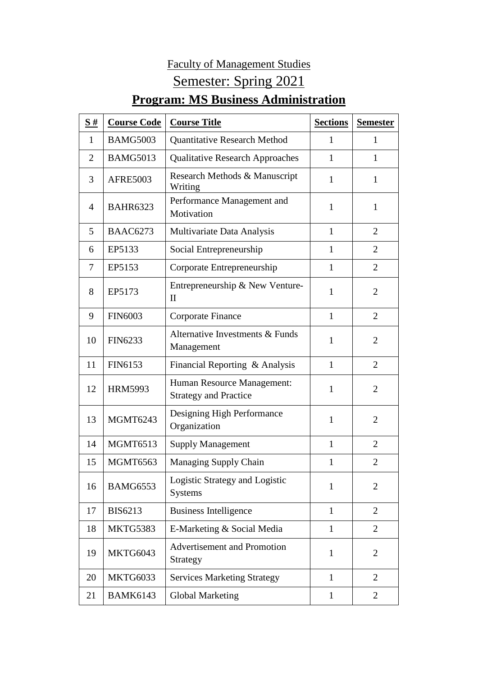## Faculty of Management Studies Semester: Spring 2021

## **Program: MS Business Administration**

| S#             | <b>Course Code</b> | <b>Course Title</b>                                        | <b>Sections</b> | <b>Semester</b> |
|----------------|--------------------|------------------------------------------------------------|-----------------|-----------------|
| 1              | <b>BAMG5003</b>    | <b>Quantitative Research Method</b>                        | $\mathbf{1}$    | 1               |
| $\overline{2}$ | <b>BAMG5013</b>    | <b>Qualitative Research Approaches</b>                     | 1               | 1               |
| 3              | <b>AFRE5003</b>    | Research Methods & Manuscript<br>Writing                   | $\mathbf{1}$    | $\mathbf{1}$    |
| 4              | <b>BAHR6323</b>    | Performance Management and<br>Motivation                   | 1               | $\mathbf{1}$    |
| 5              | <b>BAAC6273</b>    | Multivariate Data Analysis                                 | $\mathbf{1}$    | $\overline{2}$  |
| 6              | EP5133             | Social Entrepreneurship                                    | 1               | $\overline{2}$  |
| 7              | EP5153             | Corporate Entrepreneurship                                 | $\mathbf{1}$    | $\overline{2}$  |
| 8              | EP5173             | Entrepreneurship & New Venture-<br>$\mathbf{I}$            | 1               | $\overline{2}$  |
| 9              | <b>FIN6003</b>     | Corporate Finance                                          | $\mathbf{1}$    | $\overline{2}$  |
| 10             | <b>FIN6233</b>     | Alternative Investments & Funds<br>Management              | 1               | $\overline{2}$  |
| 11             | FIN6153            | Financial Reporting & Analysis                             | $\mathbf{1}$    | $\overline{2}$  |
| 12             | <b>HRM5993</b>     | Human Resource Management:<br><b>Strategy and Practice</b> | 1               | $\overline{2}$  |
| 13             | <b>MGMT6243</b>    | Designing High Performance<br>Organization                 | $\mathbf{1}$    | $\overline{2}$  |
| 14             | <b>MGMT6513</b>    | <b>Supply Management</b>                                   | $\mathbf{1}$    | $\overline{2}$  |
| 15             | <b>MGMT6563</b>    | Managing Supply Chain                                      | $\mathbf{1}$    | $\overline{2}$  |
| 16             | <b>BAMG6553</b>    | Logistic Strategy and Logistic<br><b>Systems</b>           | $\mathbf{1}$    | $\overline{2}$  |
| 17             | <b>BIS6213</b>     | <b>Business Intelligence</b>                               | $\mathbf{1}$    | $\overline{2}$  |
| 18             | MKTG5383           | E-Marketing & Social Media                                 | 1               | 2               |
| 19             | MKTG6043           | <b>Advertisement and Promotion</b><br>Strategy             | $\mathbf{1}$    | $\overline{2}$  |
| 20             | <b>MKTG6033</b>    | <b>Services Marketing Strategy</b>                         | $\mathbf{1}$    | $\overline{2}$  |
| 21             | <b>BAMK6143</b>    | Global Marketing                                           | $\mathbf{1}$    | 2               |